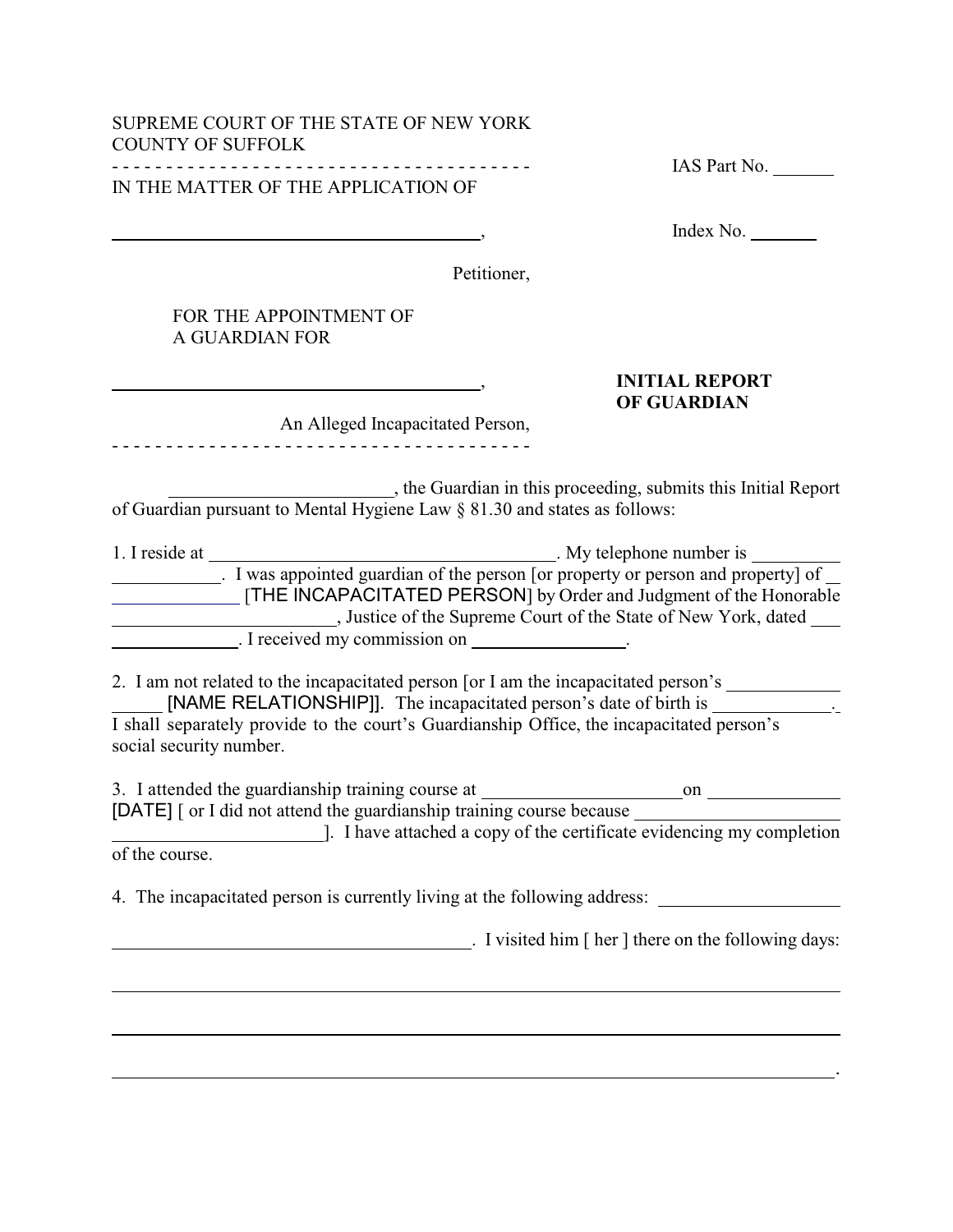# SUPREME COURT OF THE STATE OF NEW YORK COUNTY OF SUFFOLK

- - - - - - - - - - - - - - - - - - - - - - - - - - - - - - - - - - - - - - - IAS Part No. IN THE MATTER OF THE APPLICATION OF

, Index No.

Petitioner,

## FOR THE APPOINTMENT OF A GUARDIAN FOR

 $\overline{a}$ 

 $\overline{a}$ 

### , **INITIAL REPORT OF GUARDIAN**

An Alleged Incapacitated Person, - - - - - - - - - - - - - - - - - - - - - - - - - - - - - - - - - - - - - - -

 , the Guardian in this proceeding, submits this Initial Report of Guardian pursuant to Mental Hygiene Law § 81.30 and states as follows:

| 1. I reside at | . My telephone number is                                                         |  |  |
|----------------|----------------------------------------------------------------------------------|--|--|
|                | I was appointed guardian of the person [or property or person and property] of _ |  |  |
|                | [THE INCAPACITATED PERSON] by Order and Judgment of the Honorable                |  |  |
|                | , Justice of the Supreme Court of the State of New York, dated                   |  |  |
|                | . I received my commission on                                                    |  |  |

2. I am not related to the incapacitated person [or I am the incapacitated person's [NAME RELATIONSHIP]]. The incapacitated person's date of birth is \_\_\_\_\_\_\_\_\_\_\_\_\_\_.

I shall separately provide to the court's Guardianship Office, the incapacitated person's social security number.

| 3. I attended the guardianship training course at                     | on |  |
|-----------------------------------------------------------------------|----|--|
| [DATE] [ or I did not attend the guardianship training course because |    |  |
| $\mathbf{r}$ , and $\mathbf{r}$ , and $\mathbf{r}$ , and $\mathbf{r}$ |    |  |

 ]. I have attached a copy of the certificate evidencing my completion of the course.

<u>. Andre Stadt i den stadt i den stadt i den stadt i den stadt i den stadt i den stadt i den stadt i den stadt</u>

4. The incapacitated person is currently living at the following address:

. I visited him [ her ] there on the following days: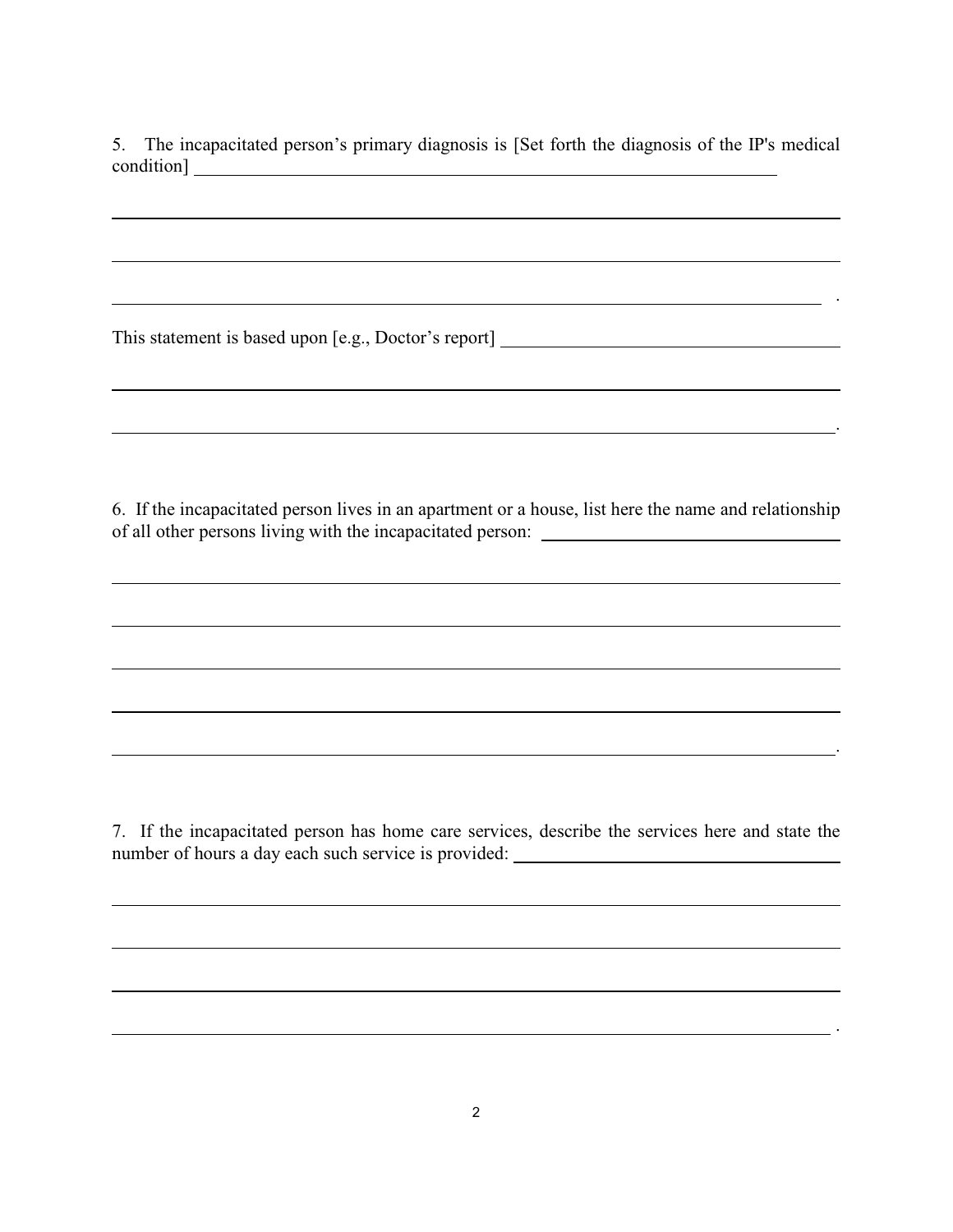5. The incapacitated person's primary diagnosis is [Set forth the diagnosis of the IP's medical condition]

.

.

<u> 1989 - Johann Stoff, amerikansk politiker (\* 1908)</u>

.

This statement is based upon [e.g., Doctor's report]

 $\overline{a}$ 

 $\overline{a}$ 

 $\overline{a}$ 

 $\overline{a}$ 

 $\overline{a}$ 

6. If the incapacitated person lives in an apartment or a house, list here the name and relationship of all other persons living with the incapacitated person:

7. If the incapacitated person has home care services, describe the services here and state the number of hours a day each such service is provided:

<u>. Andre Sterne and Sterne and Sterne and Sterne and Sterne and Sterne and Sterne and Sterne and Sterne and St</u>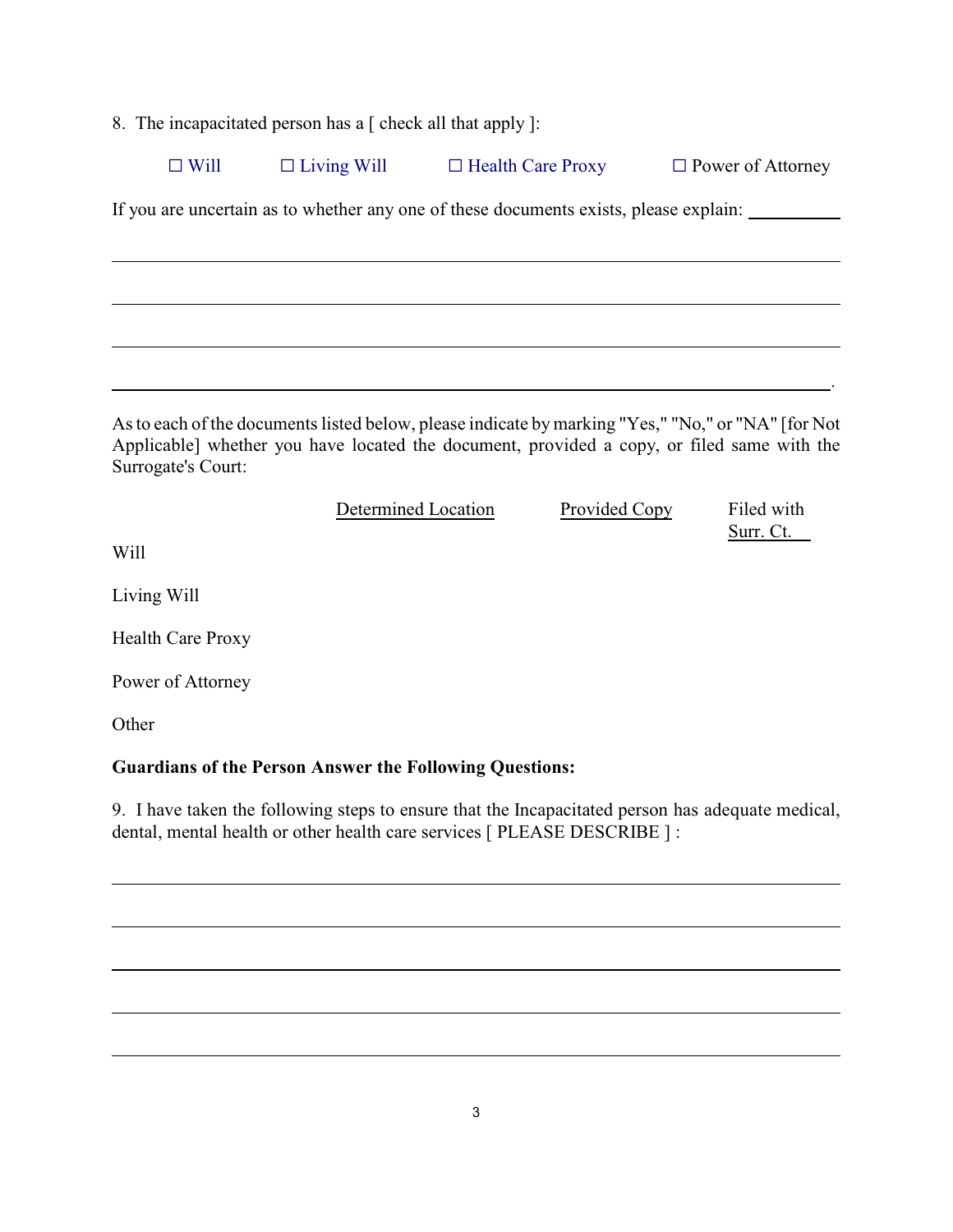8. The incapacitated person has a [ check all that apply ]:

| $\Box$ Will<br>$\Box$ Health Care Proxy<br>$\Box$ Living Will<br>$\Box$ Power of Attorney |
|-------------------------------------------------------------------------------------------|
|-------------------------------------------------------------------------------------------|

If you are uncertain as to whether any one of these documents exists, please explain:

As to each of the documents listed below, please indicate by marking "Yes," "No," or "NA" [for Not Applicable] whether you have located the document, provided a copy, or filed same with the Surrogate's Court:

| Determined Location | Provided Copy | Filed with |
|---------------------|---------------|------------|
|                     |               | Surr. Ct.  |

<u>. Andreas Andreas Andreas Andreas Andreas Andreas Andreas Andreas Andreas Andreas Andreas Andreas Andreas And</u>

Will

 $\overline{a}$ 

Living Will

Health Care Proxy

Power of Attorney

**Other** 

l

l

l

 $\overline{a}$ 

l

### **Guardians of the Person Answer the Following Questions:**

9. I have taken the following steps to ensure that the Incapacitated person has adequate medical, dental, mental health or other health care services [ PLEASE DESCRIBE ] :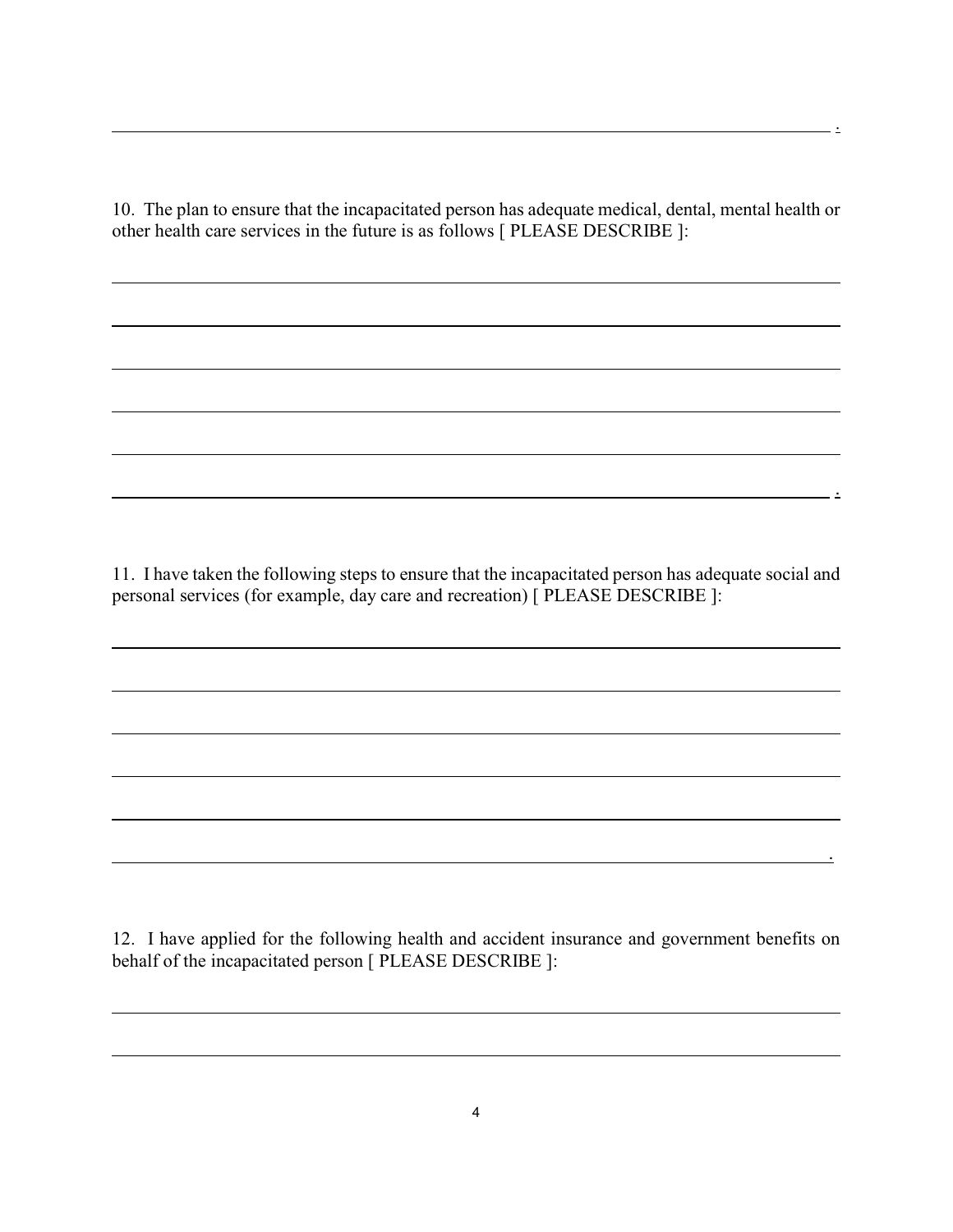10. The plan to ensure that the incapacitated person has adequate medical, dental, mental health or other health care services in the future is as follows [ PLEASE DESCRIBE ]:

l

l

 $\overline{a}$ 

l

l

l

 $\overline{a}$ 

l

l

l

 $\overline{a}$ 

l

<u>. Andre Sammen and Sammen and Sammen and Sammen and Sammen and Sammen and Sammen and Sammen and Sammen and Sa</u>

11. I have taken the following steps to ensure that the incapacitated person has adequate social and personal services (for example, day care and recreation) [ PLEASE DESCRIBE ]:

<u>. Andre Sterne and Sterne and Sterne and Sterne and Sterne and Sterne and Sterne and Sterne and Sterne and St</u>

12. I have applied for the following health and accident insurance and government benefits on behalf of the incapacitated person [ PLEASE DESCRIBE ]:

.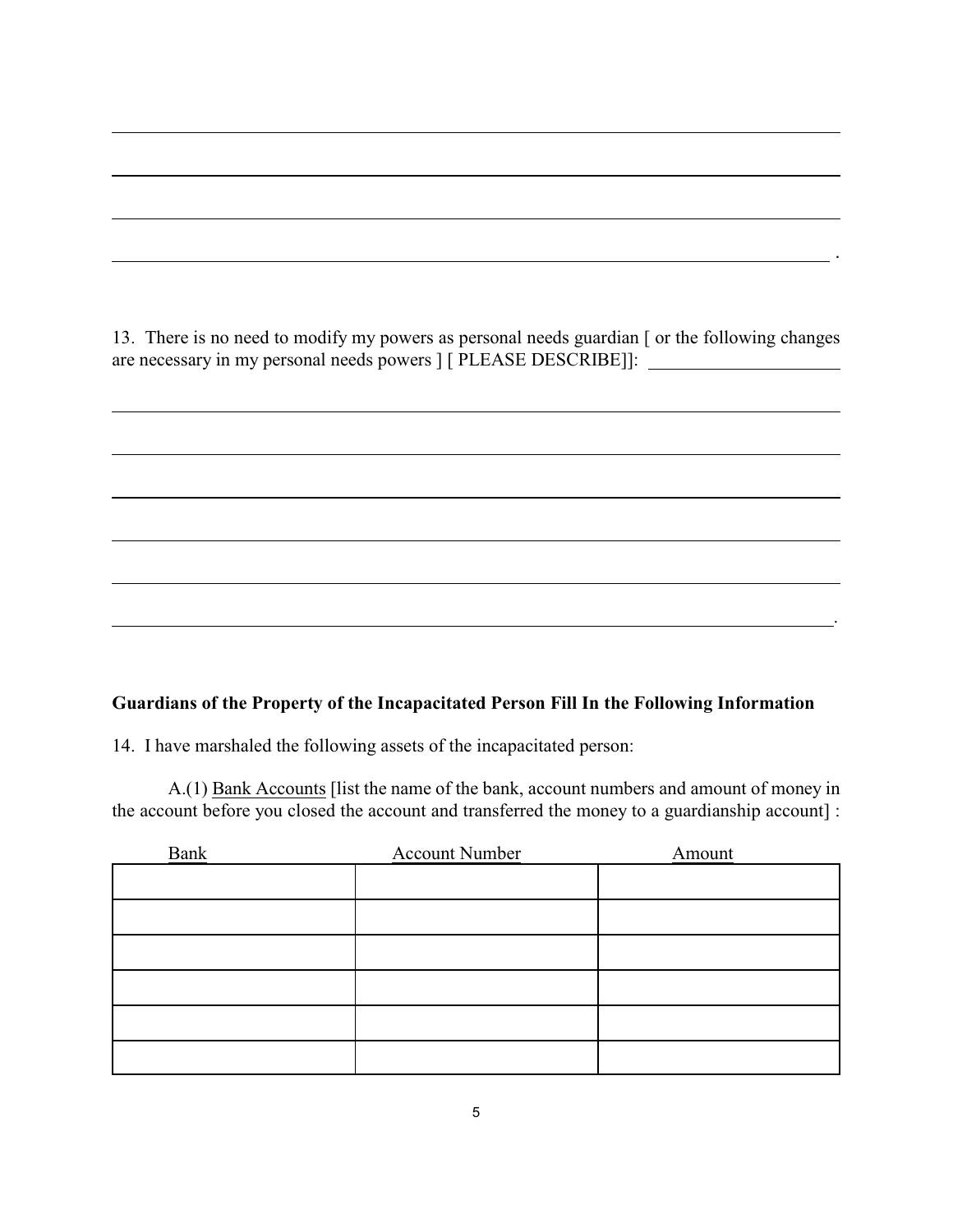13. There is no need to modify my powers as personal needs guardian [ or the following changes are necessary in my personal needs powers ] [ PLEASE DESCRIBE]]:

. . . . . . . . <u>. . . . .</u> .

#### **Guardians of the Property of the Incapacitated Person Fill In the Following Information**

.

14. I have marshaled the following assets of the incapacitated person:

l

l

l

l

l

l

l

 $\overline{a}$ 

A.(1) Bank Accounts [list the name of the bank, account numbers and amount of money in the account before you closed the account and transferred the money to a guardianship account] :

| <b>Bank</b> | <b>Account Number</b> | Amount |
|-------------|-----------------------|--------|
|             |                       |        |
|             |                       |        |
|             |                       |        |
|             |                       |        |
|             |                       |        |
|             |                       |        |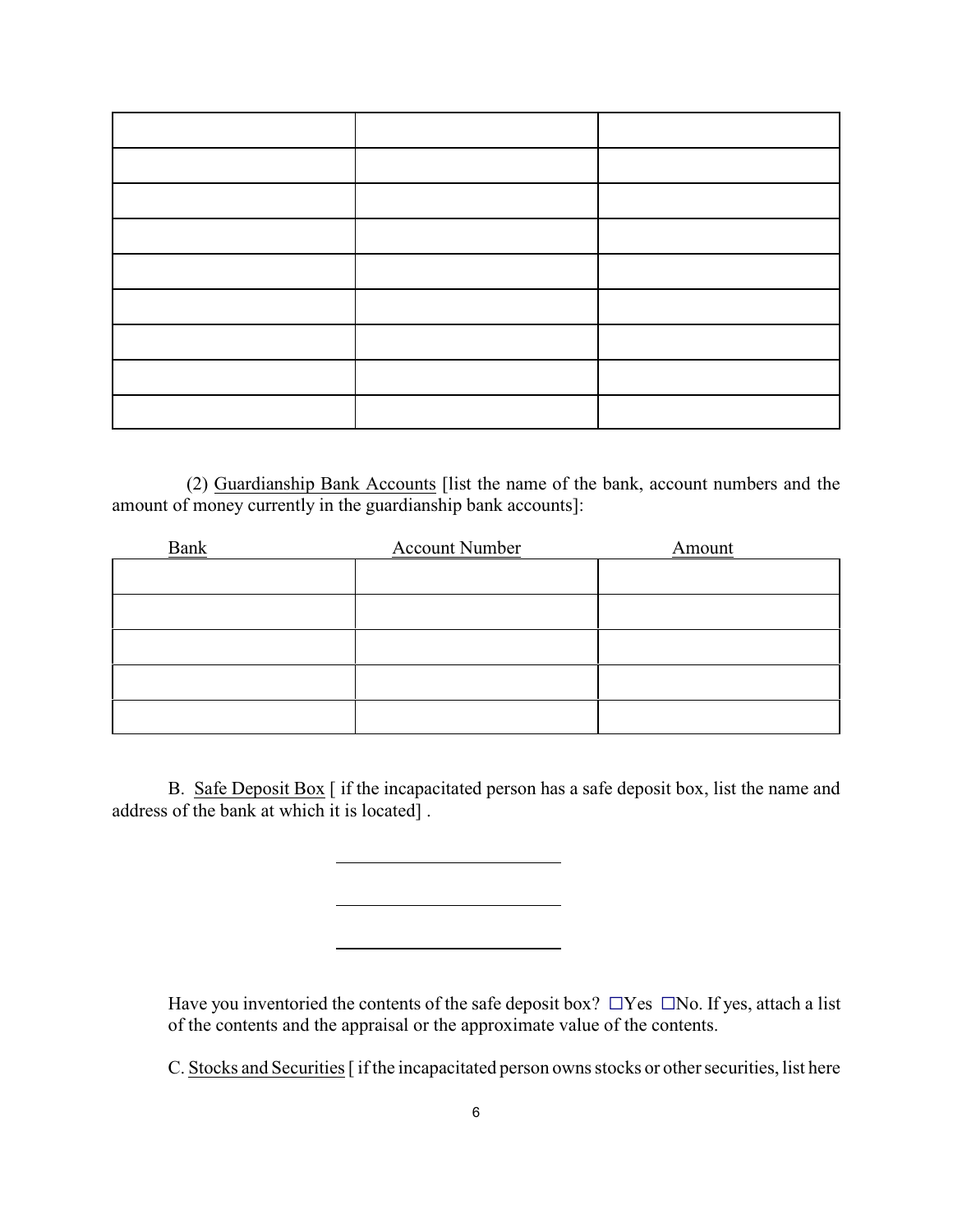(2) Guardianship Bank Accounts [list the name of the bank, account numbers and the amount of money currently in the guardianship bank accounts]:

| Bank | <b>Account Number</b> | Amount |
|------|-----------------------|--------|
|      |                       |        |
|      |                       |        |
|      |                       |        |
|      |                       |        |
|      |                       |        |

B. Safe Deposit Box [ if the incapacitated person has a safe deposit box, list the name and address of the bank at which it is located] .

l

l

l

Have you inventoried the contents of the safe deposit box?  $\Box$  Yes  $\Box$  No. If yes, attach a list of the contents and the appraisal or the approximate value of the contents.

C. Stocks and Securities [ if the incapacitated person owns stocks or other securities, list here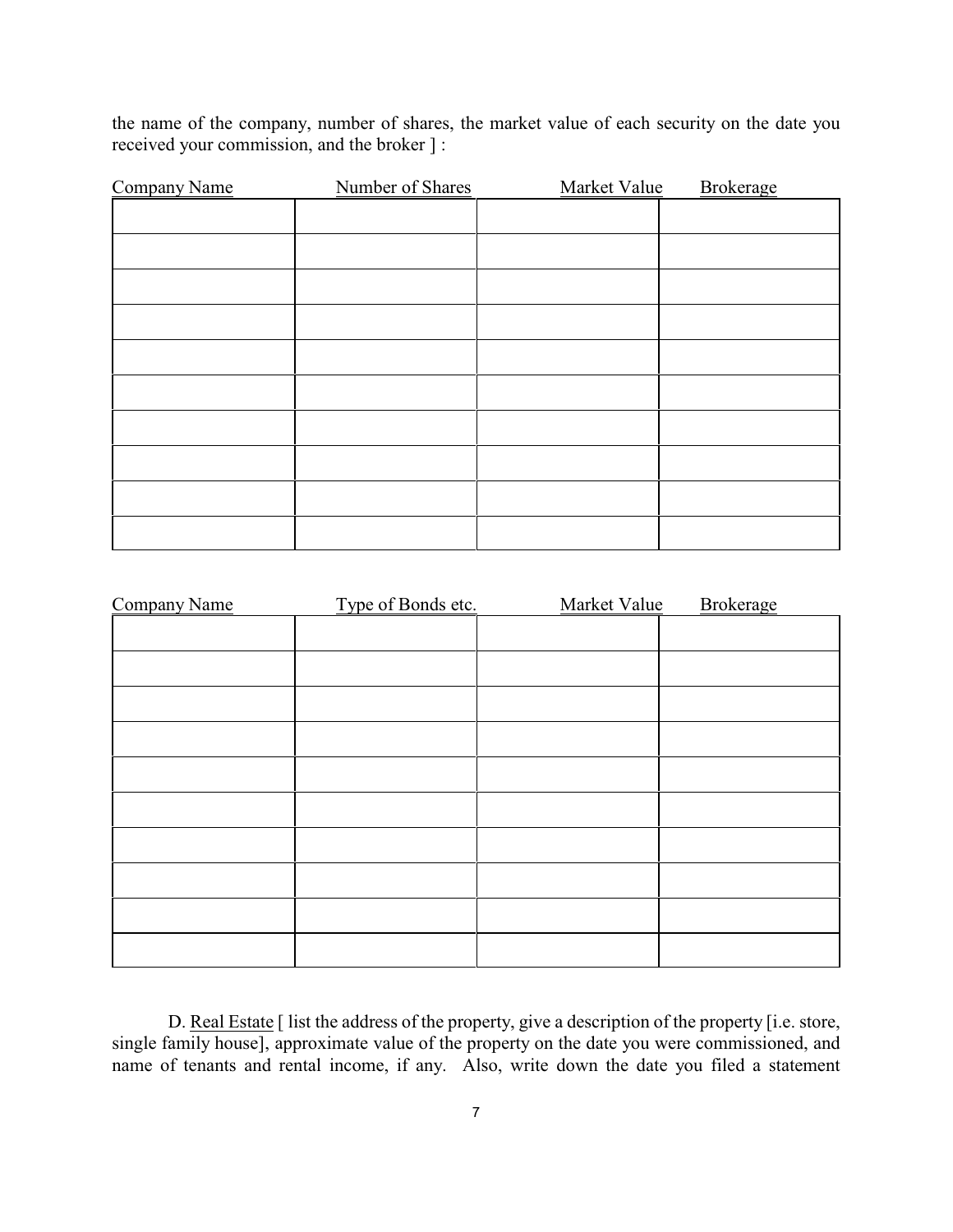the name of the company, number of shares, the market value of each security on the date you received your commission, and the broker ] :

| <b>Company Name</b> | Number of Shares | Market Value | <b>Brokerage</b> |
|---------------------|------------------|--------------|------------------|
|                     |                  |              |                  |
|                     |                  |              |                  |
|                     |                  |              |                  |
|                     |                  |              |                  |
|                     |                  |              |                  |
|                     |                  |              |                  |
|                     |                  |              |                  |
|                     |                  |              |                  |
|                     |                  |              |                  |
|                     |                  |              |                  |

| <b>Company Name</b> | Type of Bonds etc. | Market Value | <b>Brokerage</b> |
|---------------------|--------------------|--------------|------------------|
|                     |                    |              |                  |
|                     |                    |              |                  |
|                     |                    |              |                  |
|                     |                    |              |                  |
|                     |                    |              |                  |
|                     |                    |              |                  |
|                     |                    |              |                  |
|                     |                    |              |                  |
|                     |                    |              |                  |
|                     |                    |              |                  |
|                     |                    |              |                  |

D. Real Estate [ list the address of the property, give a description of the property [i.e. store, single family house], approximate value of the property on the date you were commissioned, and name of tenants and rental income, if any. Also, write down the date you filed a statement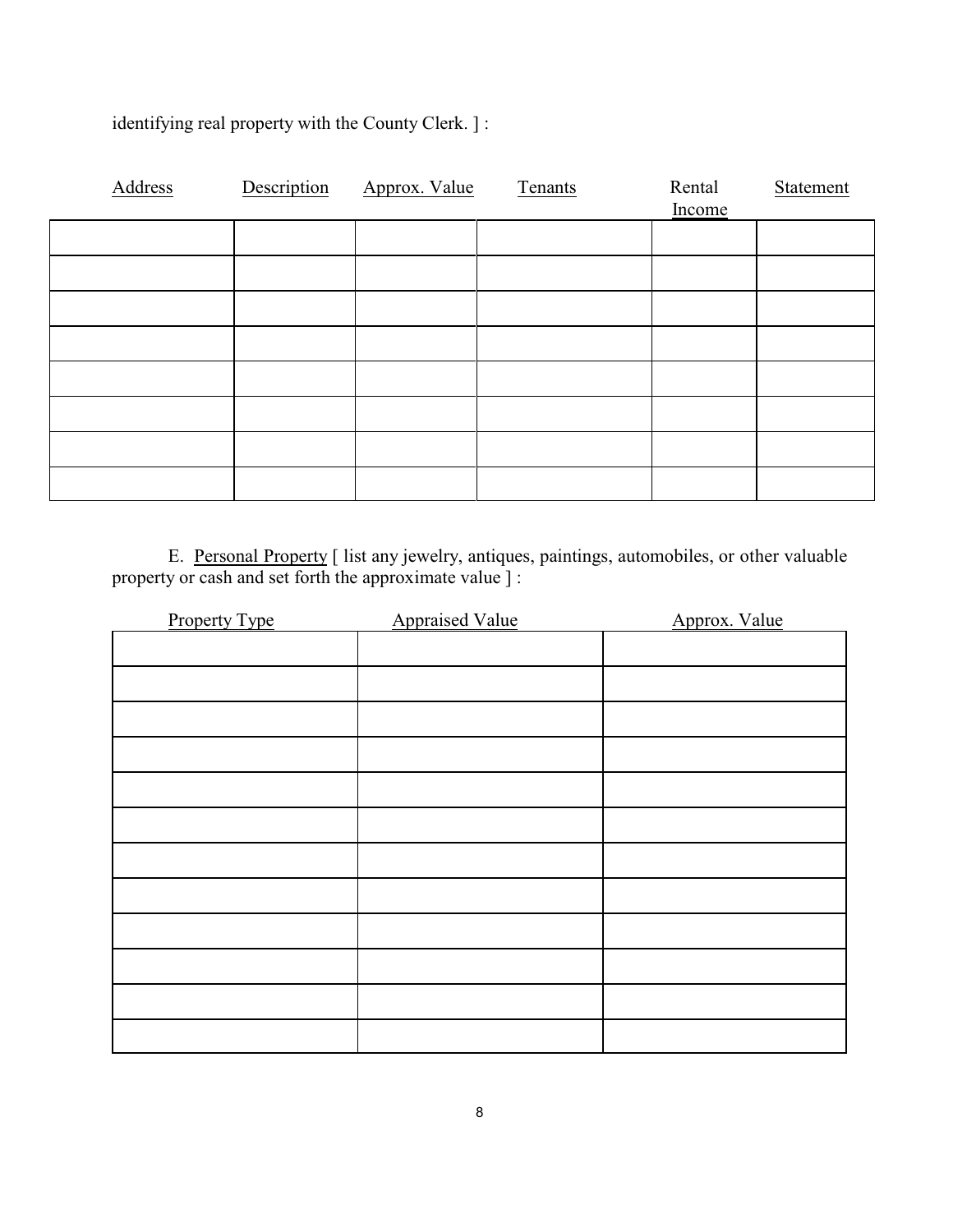| Address | Description | Approx. Value | Tenants | Rental<br>Income | Statement |
|---------|-------------|---------------|---------|------------------|-----------|
|         |             |               |         |                  |           |
|         |             |               |         |                  |           |
|         |             |               |         |                  |           |
|         |             |               |         |                  |           |
|         |             |               |         |                  |           |
|         |             |               |         |                  |           |
|         |             |               |         |                  |           |
|         |             |               |         |                  |           |

identifying real property with the County Clerk. ] :

E. Personal Property [ list any jewelry, antiques, paintings, automobiles, or other valuable property or cash and set forth the approximate value ] :

| <b>Property Type</b> | <b>Appraised Value</b> | Approx. Value |
|----------------------|------------------------|---------------|
|                      |                        |               |
|                      |                        |               |
|                      |                        |               |
|                      |                        |               |
|                      |                        |               |
|                      |                        |               |
|                      |                        |               |
|                      |                        |               |
|                      |                        |               |
|                      |                        |               |
|                      |                        |               |
|                      |                        |               |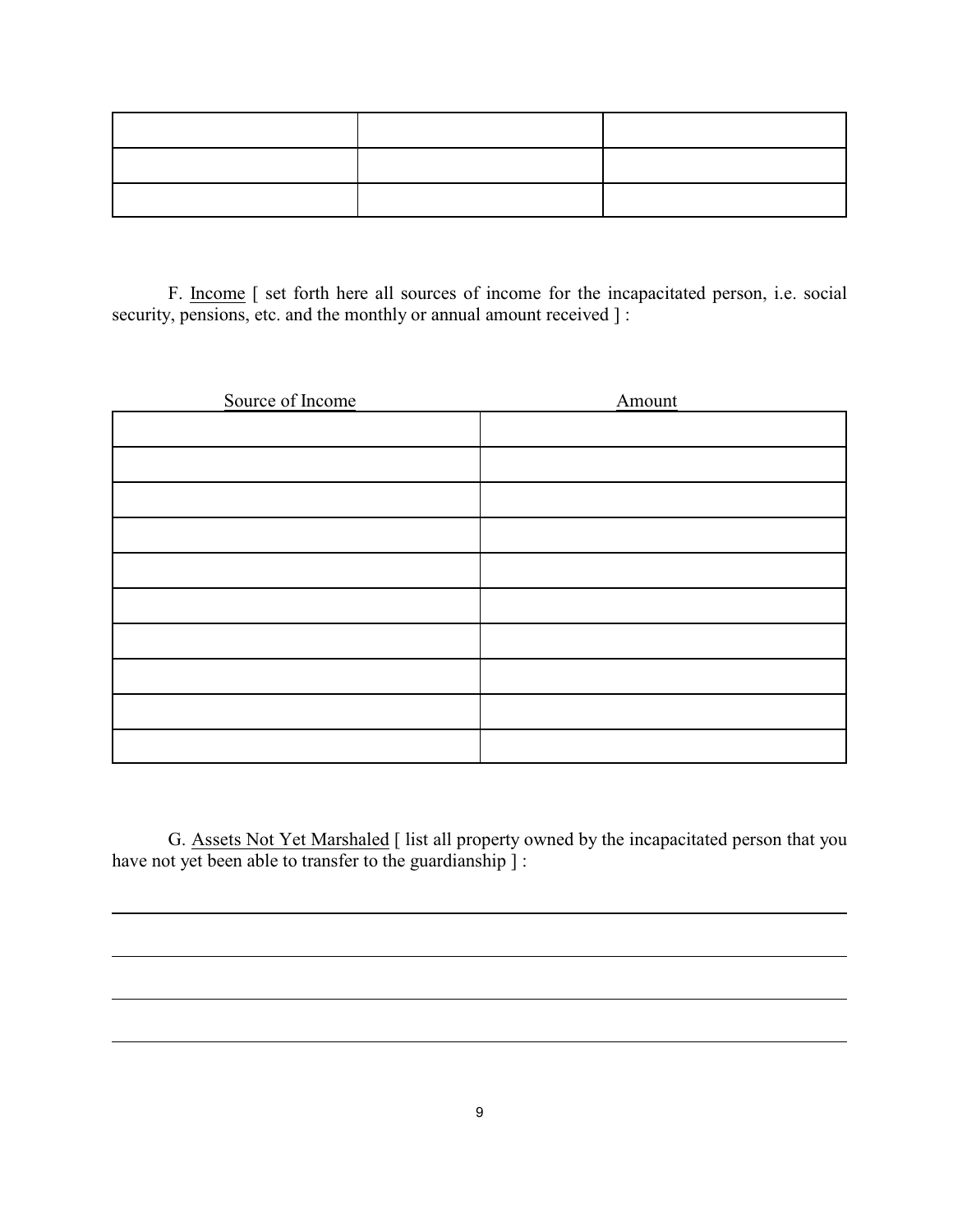F. Income [ set forth here all sources of income for the incapacitated person, i.e. social security, pensions, etc. and the monthly or annual amount received ] :

| Source of Income | Amount |
|------------------|--------|
|                  |        |
|                  |        |
|                  |        |
|                  |        |
|                  |        |
|                  |        |
|                  |        |
|                  |        |
|                  |        |
|                  |        |

G. Assets Not Yet Marshaled [ list all property owned by the incapacitated person that you have not yet been able to transfer to the guardianship ] :

l

 $\overline{a}$ 

l

 $\overline{a}$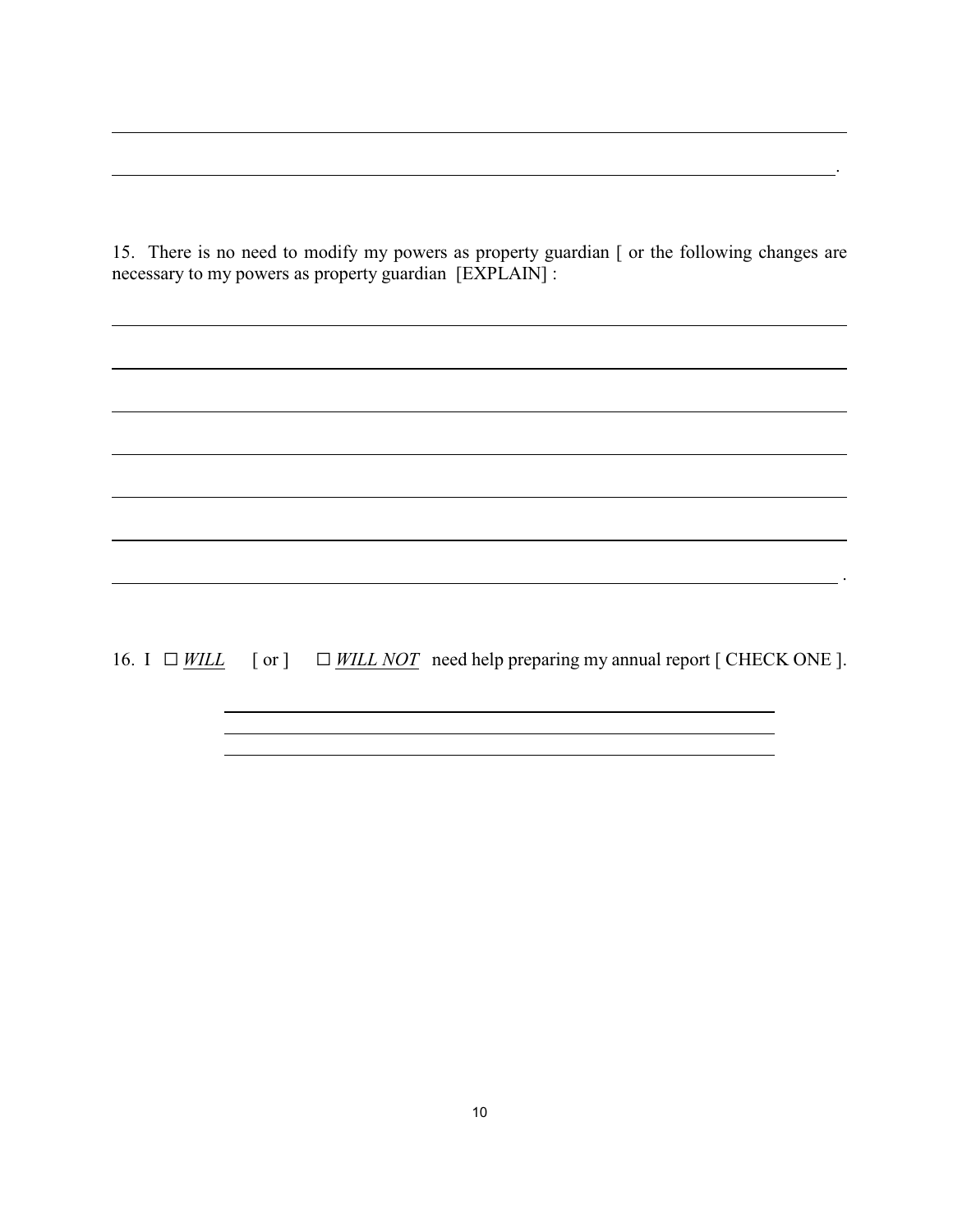15. There is no need to modify my powers as property guardian [ or the following changes are necessary to my powers as property guardian [EXPLAIN] :

<u>. Andre Sterne and Sterne and Sterne and Sterne and Sterne and Sterne and Sterne and Sterne and Sterne and St</u>

 $\overline{a}$ 

 $\overline{a}$ 

 $\overline{a}$ 

l

 $\overline{a}$ 

l

 $\overline{a}$ 

l

16. I  $\Box$  *WILL* [ or ]  $\Box$  *WILL NOT* need help preparing my annual report [ CHECK ONE ].

.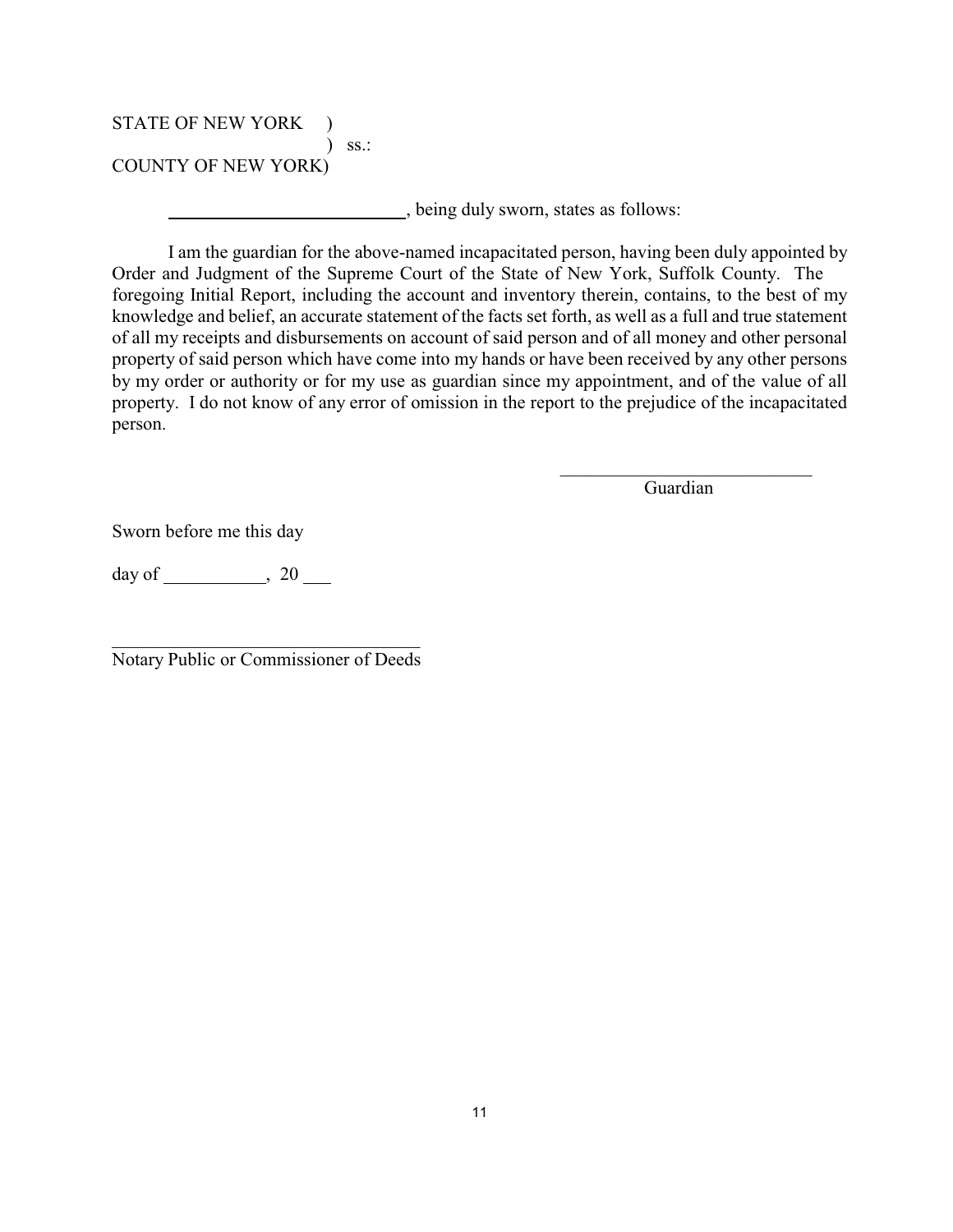## STATE OF NEW YORK ) ) ss.: COUNTY OF NEW YORK)

, being duly sworn, states as follows:

I am the guardian for the above-named incapacitated person, having been duly appointed by Order and Judgment of the Supreme Court of the State of New York, Suffolk County. The foregoing Initial Report, including the account and inventory therein, contains, to the best of my knowledge and belief, an accurate statement of the facts set forth, as well as a full and true statement of all my receipts and disbursements on account of said person and of all money and other personal property of said person which have come into my hands or have been received by any other persons by my order or authority or for my use as guardian since my appointment, and of the value of all property. I do not know of any error of omission in the report to the prejudice of the incapacitated person.

Guardian

 $\overline{\phantom{a}}$  ,  $\overline{\phantom{a}}$  ,  $\overline{\phantom{a}}$  ,  $\overline{\phantom{a}}$  ,  $\overline{\phantom{a}}$  ,  $\overline{\phantom{a}}$  ,  $\overline{\phantom{a}}$  ,  $\overline{\phantom{a}}$  ,  $\overline{\phantom{a}}$  ,  $\overline{\phantom{a}}$  ,  $\overline{\phantom{a}}$  ,  $\overline{\phantom{a}}$  ,  $\overline{\phantom{a}}$  ,  $\overline{\phantom{a}}$  ,  $\overline{\phantom{a}}$  ,  $\overline{\phantom{a}}$ 

Sworn before me this day

day of  $\qquad \qquad , 20 \qquad$ 

 $\mathcal{L}_\mathcal{L}$  , where  $\mathcal{L}_\mathcal{L}$  , we have the set of the set of the set of the set of the set of the set of the set of the set of the set of the set of the set of the set of the set of the set of the set of the set Notary Public or Commissioner of Deeds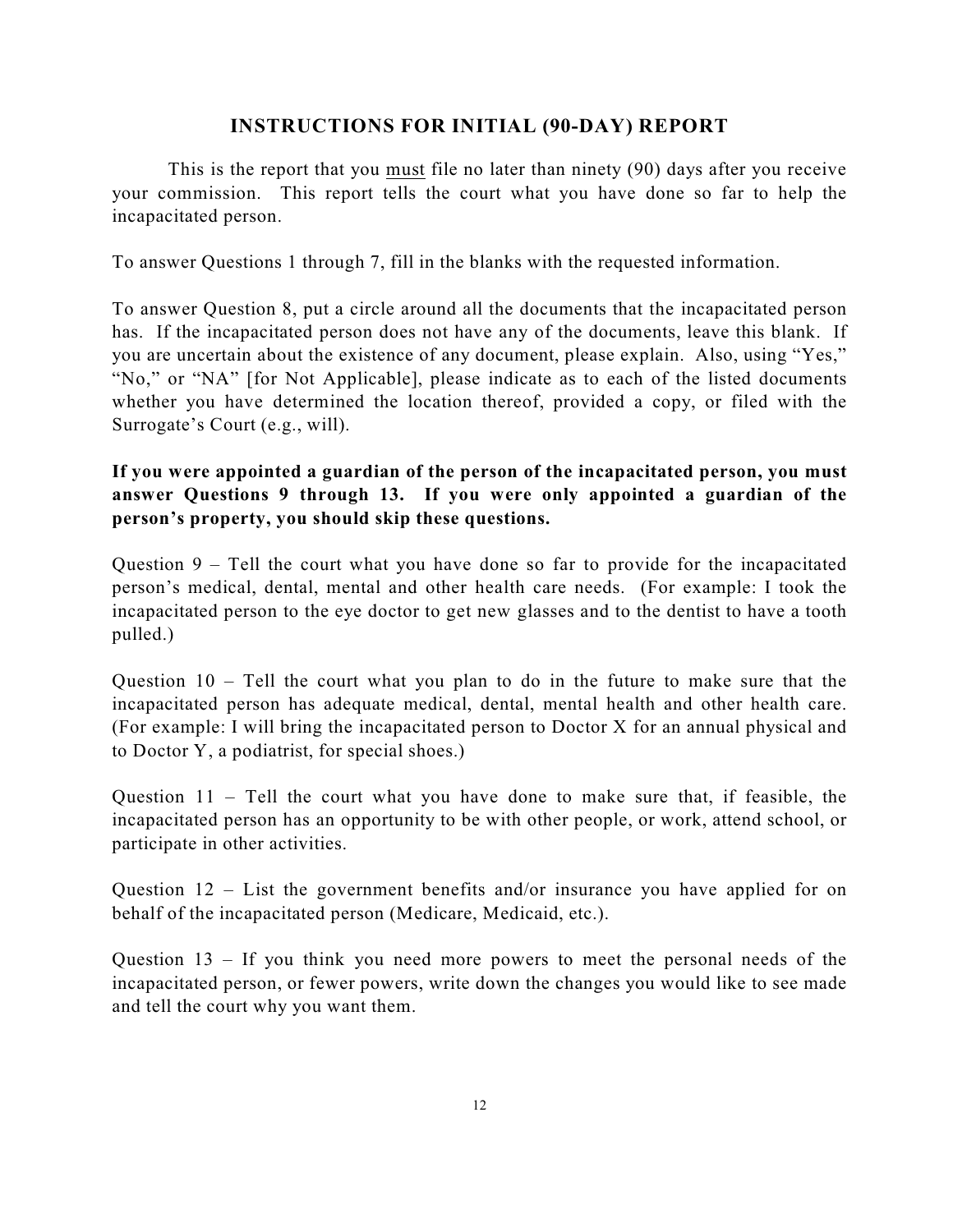## **INSTRUCTIONS FOR INITIAL (90-DAY) REPORT**

This is the report that you must file no later than ninety (90) days after you receive your commission. This report tells the court what you have done so far to help the incapacitated person.

To answer Questions 1 through 7, fill in the blanks with the requested information.

To answer Question 8, put a circle around all the documents that the incapacitated person has. If the incapacitated person does not have any of the documents, leave this blank. If you are uncertain about the existence of any document, please explain. Also, using "Yes," "No," or "NA" [for Not Applicable], please indicate as to each of the listed documents whether you have determined the location thereof, provided a copy, or filed with the Surrogate's Court (e.g., will).

# **If you were appointed a guardian of the person of the incapacitated person, you must answer Questions 9 through 13. If you were only appointed a guardian of the person's property, you should skip these questions.**

Question 9 – Tell the court what you have done so far to provide for the incapacitated person's medical, dental, mental and other health care needs. (For example: I took the incapacitated person to the eye doctor to get new glasses and to the dentist to have a tooth pulled.)

Question  $10 -$  Tell the court what you plan to do in the future to make sure that the incapacitated person has adequate medical, dental, mental health and other health care. (For example: I will bring the incapacitated person to Doctor X for an annual physical and to Doctor Y, a podiatrist, for special shoes.)

Question  $11$  – Tell the court what you have done to make sure that, if feasible, the incapacitated person has an opportunity to be with other people, or work, attend school, or participate in other activities.

Question 12 – List the government benefits and/or insurance you have applied for on behalf of the incapacitated person (Medicare, Medicaid, etc.).

Question 13 – If you think you need more powers to meet the personal needs of the incapacitated person, or fewer powers, write down the changes you would like to see made and tell the court why you want them.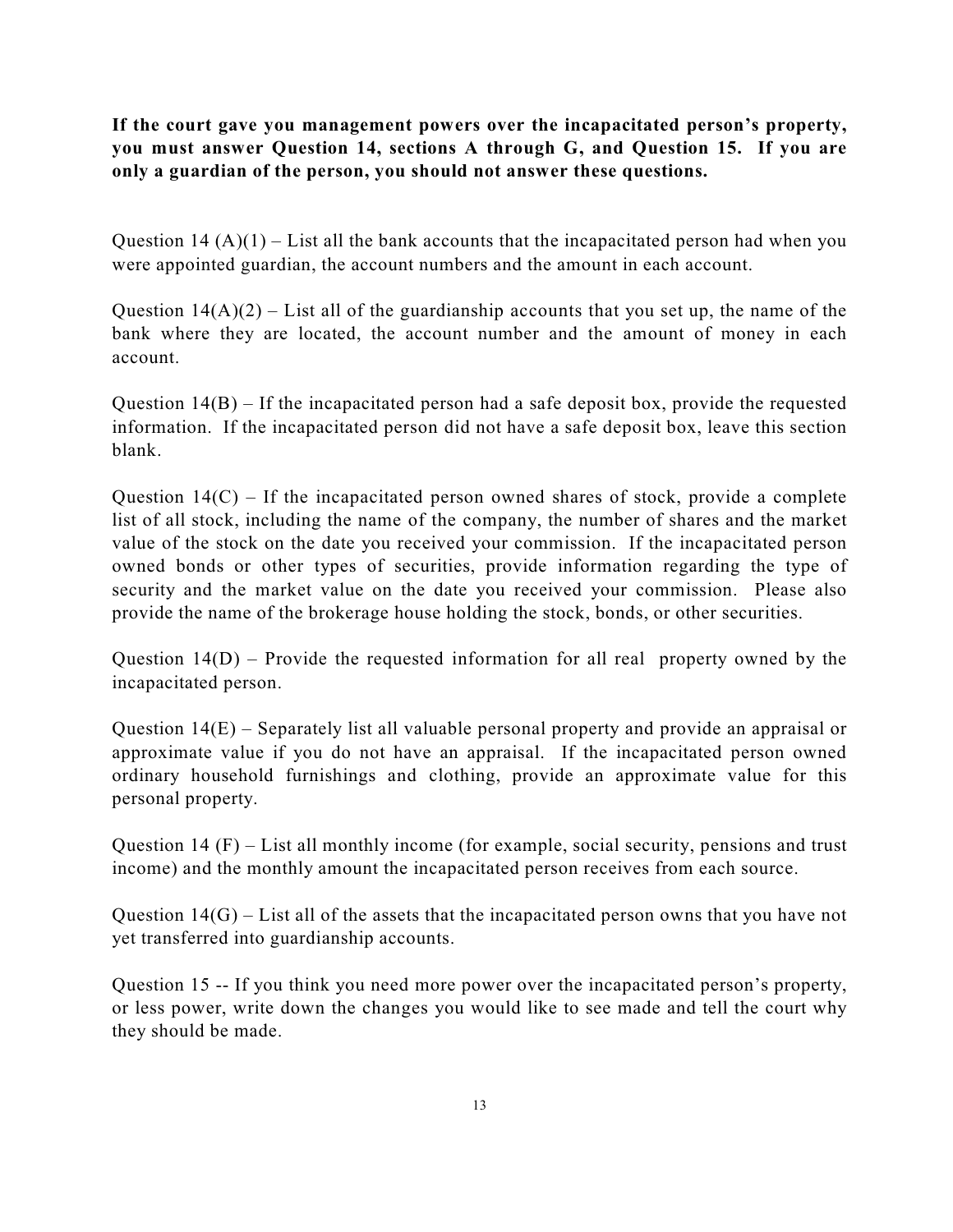**If the court gave you management powers over the incapacitated person's property, you must answer Question 14, sections A through G, and Question 15. If you are only a guardian of the person, you should not answer these questions.** 

Question 14  $(A)(1)$  – List all the bank accounts that the incapacitated person had when you were appointed guardian, the account numbers and the amount in each account.

Question  $14(A)(2)$  – List all of the guardianship accounts that you set up, the name of the bank where they are located, the account number and the amount of money in each account.

Question  $14(B)$  – If the incapacitated person had a safe deposit box, provide the requested information. If the incapacitated person did not have a safe deposit box, leave this section blank.

Question  $14(C)$  – If the incapacitated person owned shares of stock, provide a complete list of all stock, including the name of the company, the number of shares and the market value of the stock on the date you received your commission. If the incapacitated person owned bonds or other types of securities, provide information regarding the type of security and the market value on the date you received your commission. Please also provide the name of the brokerage house holding the stock, bonds, or other securities.

Question 14(D) – Provide the requested information for all real property owned by the incapacitated person.

Question 14(E) – Separately list all valuable personal property and provide an appraisal or approximate value if you do not have an appraisal. If the incapacitated person owned ordinary household furnishings and clothing, provide an approximate value for this personal property.

Question 14 (F) – List all monthly income (for example, social security, pensions and trust income) and the monthly amount the incapacitated person receives from each source.

Question  $14(G)$  – List all of the assets that the incapacitated person owns that you have not yet transferred into guardianship accounts.

Question 15 -- If you think you need more power over the incapacitated person's property, or less power, write down the changes you would like to see made and tell the court why they should be made.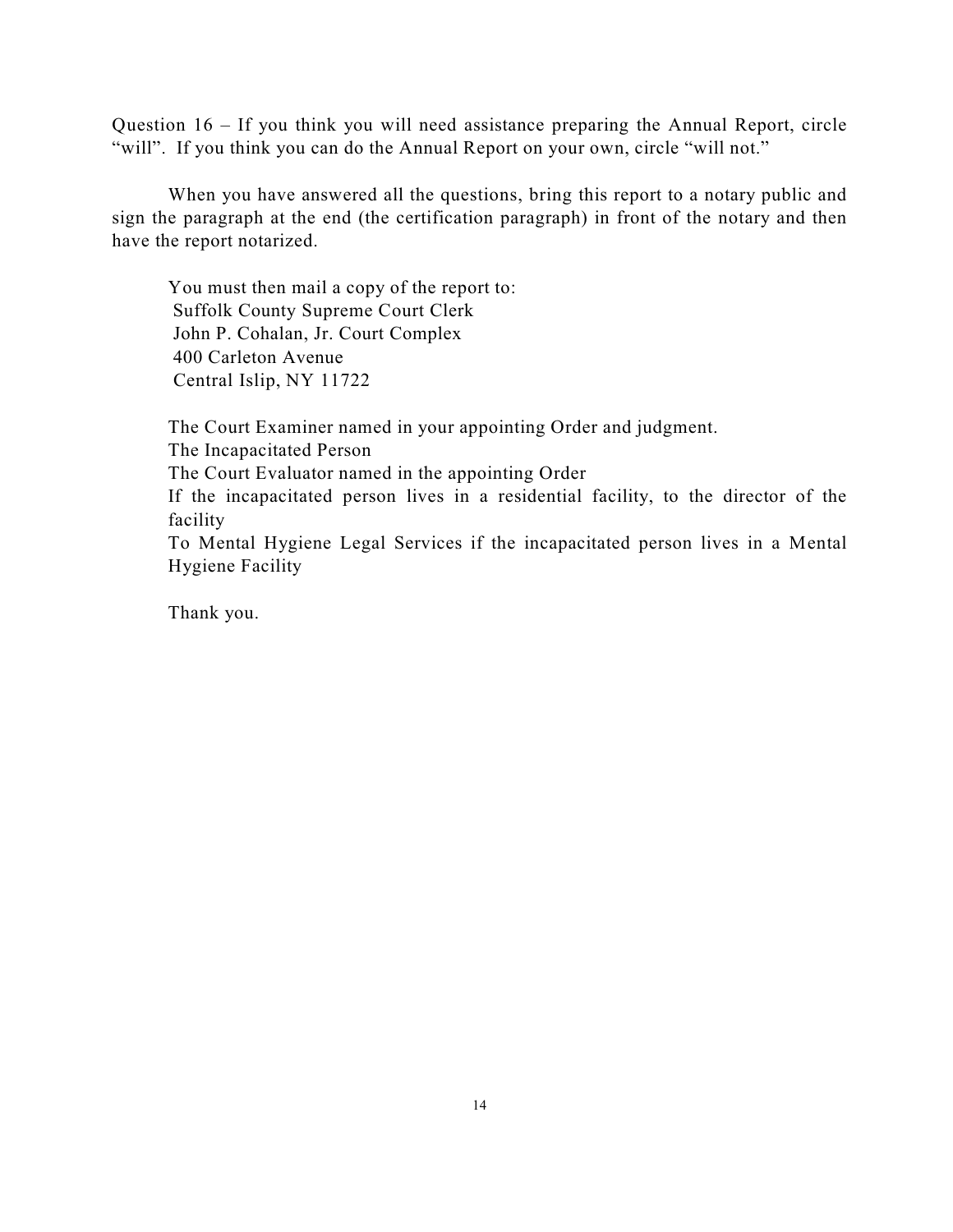Question 16 – If you think you will need assistance preparing the Annual Report, circle "will". If you think you can do the Annual Report on your own, circle "will not."

When you have answered all the questions, bring this report to a notary public and sign the paragraph at the end (the certification paragraph) in front of the notary and then have the report notarized.

You must then mail a copy of the report to: Suffolk County Supreme Court Clerk John P. Cohalan, Jr. Court Complex 400 Carleton Avenue Central Islip, NY 11722

The Court Examiner named in your appointing Order and judgment. The Incapacitated Person The Court Evaluator named in the appointing Order If the incapacitated person lives in a residential facility, to the director of the facility To Mental Hygiene Legal Services if the incapacitated person lives in a Mental Hygiene Facility

Thank you.